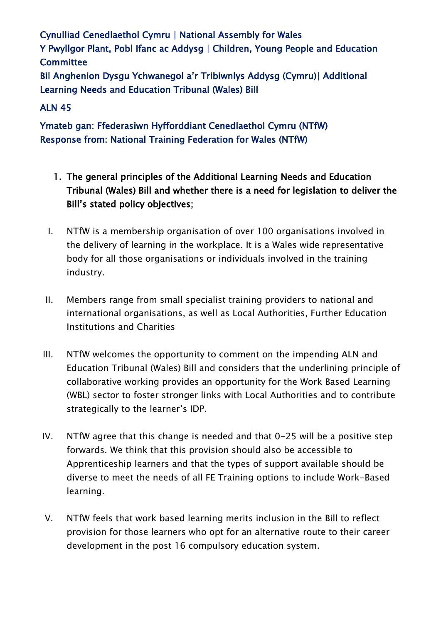Cynulliad Cenedlaethol Cymru | National Assembly for Wales Y Pwyllgor Plant, Pobl Ifanc ac Addysg | Children, Young People and Education **Committee** Bil Anghenion Dysgu Ychwanegol a'r Tribiwnlys Addysg (Cymru)| Additional

Learning Needs and Education Tribunal (Wales) Bill

## ALN 45

Ymateb gan: Ffederasiwn Hyfforddiant Cenedlaethol Cymru (NTfW) Response from: National Training Federation for Wales (NTfW)

- 1. The general principles of the Additional Learning Needs and Education Tribunal (Wales) Bill and whether there is a need for legislation to deliver the Bill's stated policy objectives;
- I. NTfW is a membership organisation of over 100 organisations involved in the delivery of learning in the workplace. It is a Wales wide representative body for all those organisations or individuals involved in the training industry.
- II. Members range from small specialist training providers to national and international organisations, as well as Local Authorities, Further Education Institutions and Charities
- III. NTfW welcomes the opportunity to comment on the impending ALN and Education Tribunal (Wales) Bill and considers that the underlining principle of collaborative working provides an opportunity for the Work Based Learning (WBL) sector to foster stronger links with Local Authorities and to contribute strategically to the learner's IDP.
- IV. NTfW agree that this change is needed and that 0-25 will be a positive step forwards. We think that this provision should also be accessible to Apprenticeship learners and that the types of support available should be diverse to meet the needs of all FE Training options to include Work-Based learning.
- V. NTfW feels that work based learning merits inclusion in the Bill to reflect provision for those learners who opt for an alternative route to their career development in the post 16 compulsory education system.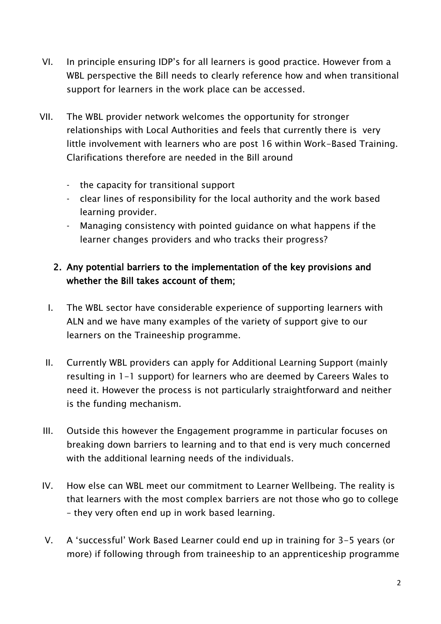- VI. In principle ensuring IDP's for all learners is good practice. However from a WBL perspective the Bill needs to clearly reference how and when transitional support for learners in the work place can be accessed.
- VII. The WBL provider network welcomes the opportunity for stronger relationships with Local Authorities and feels that currently there is very little involvement with learners who are post 16 within Work-Based Training. Clarifications therefore are needed in the Bill around
	- the capacity for transitional support
	- clear lines of responsibility for the local authority and the work based learning provider.
	- Managing consistency with pointed guidance on what happens if the learner changes providers and who tracks their progress?

## 2. Any potential barriers to the implementation of the key provisions and whether the Bill takes account of them;

- I. The WBL sector have considerable experience of supporting learners with ALN and we have many examples of the variety of support give to our learners on the Traineeship programme.
- II. Currently WBL providers can apply for Additional Learning Support (mainly resulting in 1-1 support) for learners who are deemed by Careers Wales to need it. However the process is not particularly straightforward and neither is the funding mechanism.
- III. Outside this however the Engagement programme in particular focuses on breaking down barriers to learning and to that end is very much concerned with the additional learning needs of the individuals.
- IV. How else can WBL meet our commitment to Learner Wellbeing. The reality is that learners with the most complex barriers are not those who go to college – they very often end up in work based learning.
- V. A 'successful' Work Based Learner could end up in training for 3-5 years (or more) if following through from traineeship to an apprenticeship programme